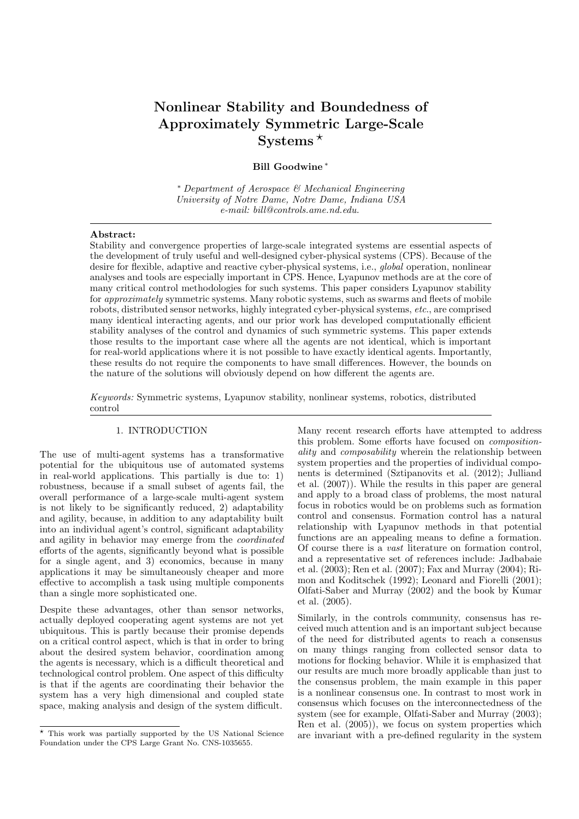# Nonlinear Stability and Boundedness of Approximately Symmetric Large-Scale Systems $*$

Bill Goodwine <sup>∗</sup>

<sup>∗</sup> Department of Aerospace & Mechanical Engineering University of Notre Dame, Notre Dame, Indiana USA e-mail: bill@controls.ame.nd.edu.

#### Abstract:

Stability and convergence properties of large-scale integrated systems are essential aspects of the development of truly useful and well-designed cyber-physical systems (CPS). Because of the desire for flexible, adaptive and reactive cyber-physical systems, i.e., global operation, nonlinear analyses and tools are especially important in CPS. Hence, Lyapunov methods are at the core of many critical control methodologies for such systems. This paper considers Lyapunov stability for approximately symmetric systems. Many robotic systems, such as swarms and fleets of mobile robots, distributed sensor networks, highly integrated cyber-physical systems, etc., are comprised many identical interacting agents, and our prior work has developed computationally efficient stability analyses of the control and dynamics of such symmetric systems. This paper extends those results to the important case where all the agents are not identical, which is important for real-world applications where it is not possible to have exactly identical agents. Importantly, these results do not require the components to have small differences. However, the bounds on the nature of the solutions will obviously depend on how different the agents are.

Keywords: Symmetric systems, Lyapunov stability, nonlinear systems, robotics, distributed control

# 1. INTRODUCTION

The use of multi-agent systems has a transformative potential for the ubiquitous use of automated systems in real-world applications. This partially is due to: 1) robustness, because if a small subset of agents fail, the overall performance of a large-scale multi-agent system is not likely to be significantly reduced, 2) adaptability and agility, because, in addition to any adaptability built into an individual agent's control, significant adaptability and agility in behavior may emerge from the coordinated efforts of the agents, significantly beyond what is possible for a single agent, and 3) economics, because in many applications it may be simultaneously cheaper and more effective to accomplish a task using multiple components than a single more sophisticated one.

Despite these advantages, other than sensor networks, actually deployed cooperating agent systems are not yet ubiquitous. This is partly because their promise depends on a critical control aspect, which is that in order to bring about the desired system behavior, coordination among the agents is necessary, which is a difficult theoretical and technological control problem. One aspect of this difficulty is that if the agents are coordinating their behavior the system has a very high dimensional and coupled state space, making analysis and design of the system difficult.

Many recent research efforts have attempted to address this problem. Some efforts have focused on compositionality and composability wherein the relationship between system properties and the properties of individual components is determined (Sztipanovits et al. (2012); Julliand et al. (2007)). While the results in this paper are general and apply to a broad class of problems, the most natural focus in robotics would be on problems such as formation control and consensus. Formation control has a natural relationship with Lyapunov methods in that potential functions are an appealing means to define a formation. Of course there is a vast literature on formation control, and a representative set of references include: Jadbabaie et al. (2003); Ren et al. (2007); Fax and Murray (2004); Rimon and Koditschek (1992); Leonard and Fiorelli (2001); Olfati-Saber and Murray (2002) and the book by Kumar et al. (2005).

Similarly, in the controls community, consensus has received much attention and is an important subject because of the need for distributed agents to reach a consensus on many things ranging from collected sensor data to motions for flocking behavior. While it is emphasized that our results are much more broadly applicable than just to the consensus problem, the main example in this paper is a nonlinear consensus one. In contrast to most work in consensus which focuses on the interconnectedness of the system (see for example, Olfati-Saber and Murray (2003); Ren et al. (2005)), we focus on system properties which are invariant with a pre-defined regularity in the system

<sup>⋆</sup> This work was partially supported by the US National Science Foundation under the CPS Large Grant No. CNS-1035655.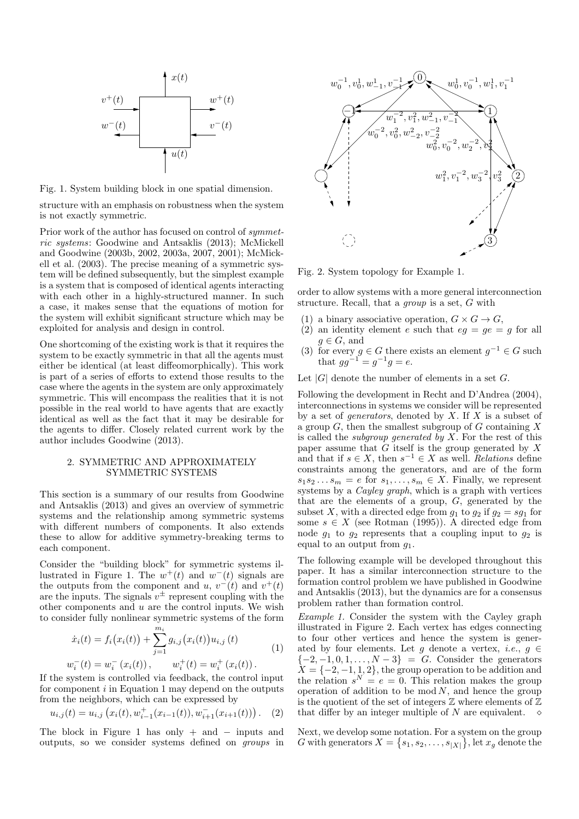

Fig. 1. System building block in one spatial dimension.

structure with an emphasis on robustness when the system is not exactly symmetric.

Prior work of the author has focused on control of symmetric systems: Goodwine and Antsaklis (2013); McMickell and Goodwine (2003b, 2002, 2003a, 2007, 2001); McMickell et al. (2003). The precise meaning of a symmetric system will be defined subsequently, but the simplest example is a system that is composed of identical agents interacting with each other in a highly-structured manner. In such a case, it makes sense that the equations of motion for the system will exhibit significant structure which may be exploited for analysis and design in control.

One shortcoming of the existing work is that it requires the system to be exactly symmetric in that all the agents must either be identical (at least diffeomorphically). This work is part of a series of efforts to extend those results to the case where the agents in the system are only approximately symmetric. This will encompass the realities that it is not possible in the real world to have agents that are exactly identical as well as the fact that it may be desirable for the agents to differ. Closely related current work by the author includes Goodwine (2013).

## 2. SYMMETRIC AND APPROXIMATELY SYMMETRIC SYSTEMS

This section is a summary of our results from Goodwine and Antsaklis (2013) and gives an overview of symmetric systems and the relationship among symmetric systems with different numbers of components. It also extends these to allow for additive symmetry-breaking terms to each component.

Consider the "building block" for symmetric systems illustrated in Figure 1. The  $w^+(t)$  and  $w^-(t)$  signals are the outputs from the component and u,  $v^-(t)$  and  $v^+(t)$ are the inputs. The signals  $v^{\pm}$  represent coupling with the other components and  $u$  are the control inputs. We wish to consider fully nonlinear symmetric systems of the form

$$
\dot{x}_i(t) = f_i(x_i(t)) + \sum_{j=1}^{m_i} g_{i,j}(x_i(t))u_{i,j}(t)
$$
  

$$
w_i^-(t) = w_i^-(x_i(t)), \qquad w_i^+(t) = w_i^+(x_i(t)).
$$
 (1)

If the system is controlled via feedback, the control input for component  $i$  in Equation 1 may depend on the outputs from the neighbors, which can be expressed by

$$
u_{i,j}(t) = u_{i,j} \left( x_i(t), w_{i-1}^+(x_{i-1}(t)), w_{i+1}^-(x_{i+1}(t)) \right). \tag{2}
$$

The block in Figure 1 has only  $+$  and  $-$  inputs and outputs, so we consider systems defined on groups in



Fig. 2. System topology for Example 1.

order to allow systems with a more general interconnection structure. Recall, that a group is a set, G with

- (1) a binary associative operation,  $G \times G \to G$ ,
- (2) an identity element e such that  $eg = ge = g$  for all  $g \in G$ , and
- (3) for every  $g \in G$  there exists an element  $g^{-1} \in G$  such that  $gg^{-1} = g^{-1}g = e$ .

Let  $|G|$  denote the number of elements in a set G.

Following the development in Recht and D'Andrea (2004), interconnections in systems we consider will be represented by a set of *generators*, denoted by  $X$ . If  $X$  is a subset of a group  $G$ , then the smallest subgroup of  $G$  containing  $X$ is called the *subgroup generated by X*. For the rest of this paper assume that  $G$  itself is the group generated by  $X$ and that if  $s \in X$ , then  $s^{-1} \in X$  as well. Relations define constraints among the generators, and are of the form  $s_1s_2...s_m = e \text{ for } s_1,...,s_m \in X.$  Finally, we represent systems by a Cayley graph, which is a graph with vertices that are the elements of a group,  $G$ , generated by the subset X, with a directed edge from  $g_1$  to  $g_2$  if  $g_2 = sg_1$  for some  $s \in X$  (see Rotman (1995)). A directed edge from node  $g_1$  to  $g_2$  represents that a coupling input to  $g_2$  is equal to an output from  $q_1$ .

The following example will be developed throughout this paper. It has a similar interconnection structure to the formation control problem we have published in Goodwine and Antsaklis (2013), but the dynamics are for a consensus problem rather than formation control.

Example 1. Consider the system with the Cayley graph illustrated in Figure 2. Each vertex has edges connecting to four other vertices and hence the system is generated by four elements. Let g denote a vertex, *i.e.*,  $g \in$  $\{-2,-1,0,1,\ldots,N-3\} = G$ . Consider the generators  $X = \{-2, -1, 1, 2\}$ , the group operation to be addition and the relation  $s^N = e = 0$ . This relation makes the group operation of addition to be  $mod N$ , and hence the group is the quotient of the set of integers  $\mathbb Z$  where elements of  $\mathbb Z$ that differ by an integer multiple of N are equivalent.  $\Diamond$ 

Next, we develop some notation. For a system on the group G with generators  $X = \{s_1, s_2, \ldots, s_{|X|}\}, \text{let } x_g \text{ denote the }$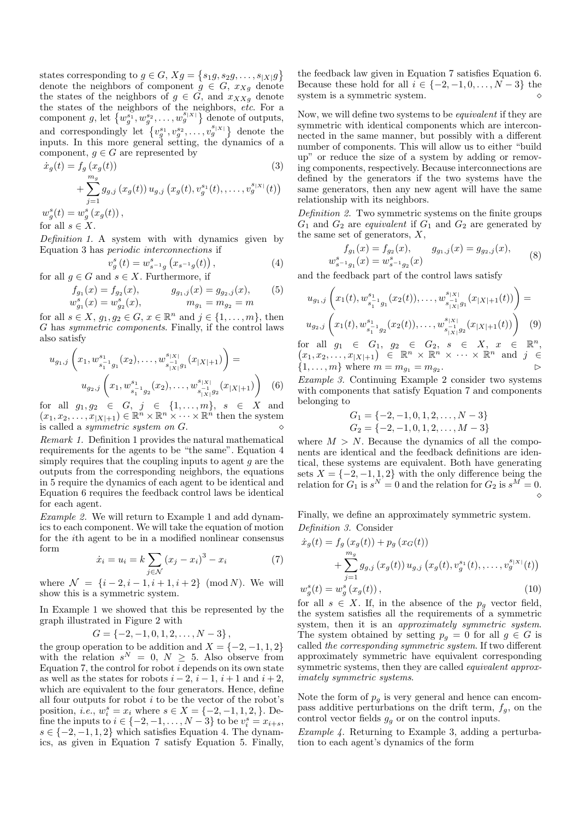states corresponding to  $g \in G$ ,  $Xg = \{s_1g, s_2g, \ldots, s_{|X|}g\}$ denote the neighbors of component  $g \in G$ ,  $x_{Xg}$  denote the states of the neighbors of  $g \in \tilde{G}$ , and  $x_{XXg}$  denote the states of the neighbors of the neighbors, etc. For a component g, let  $\{w_g^{s_1}, w_g^{s_2}, \ldots, w_g^{s_{|X|}}\}$  denote of outputs, and correspondingly let  $\{v_g^{s_1}, v_g^{s_2}, \ldots, v_g^{s_{|X|}}\}$  denote the inputs. In this more general setting, the dynamics of a component,  $g \in G$  are represented by

$$
\dot{x}_g(t) = f_g(x_g(t))
$$
\n
$$
+ \sum_{j=1}^{m_g} g_{g,j}(x_g(t)) u_{g,j}(x_g(t), v_g^{s_1}(t), \dots, v_g^{s_{|X|}}(t))
$$
\n
$$
w_g^s(t) = w_g^s(x_g(t)),
$$
\n(3)

for all  $s \in X$ .

Definition 1. A system with with dynamics given by Equation 3 has periodic interconnections if

$$
v_g^s(t) = w_{s^{-1}g}^s(x_{s^{-1}g}(t)),
$$
\n(4)

for all  $g \in G$  and  $s \in X$ . Furthermore, if

$$
f_{g_1}(x) = f_{g_2}(x), \t g_{g_1,j}(x) = g_{g_2,j}(x), \t (5)
$$
  

$$
w_{g_1}^s(x) = w_{g_2}^s(x), \t m_{g_1} = m_{g_2} = m
$$

for all  $s \in X$ ,  $g_1, g_2 \in G$ ,  $x \in \mathbb{R}^n$  and  $j \in \{1, \ldots, m\}$ , then G has symmetric components. Finally, if the control laws also satisfy

$$
u_{g_1,j}\left(x_1, w_{s_1^{-1}g_1}^{s_1}(x_2), \dots, w_{s_{|X|}^{-1}g_1}^{s_{|X|}}(x_{|X|+1})\right) =
$$
  

$$
u_{g_2,j}\left(x_1, w_{s_1^{-1}g_2}^{s_1}(x_2), \dots, w_{s_{|X|}^{-1}g_2}^{s_{|X|}}(x_{|X|+1})\right) \quad (6)
$$

for all  $g_1, g_2 \in G, j \in \{1, ..., m\}, s \in X$  and  $(x_1, x_2, \ldots, x_{|X|+1}) \in \mathbb{R}^n \times \mathbb{R}^n \times \cdots \times \mathbb{R}^n$  then the system is called a *symmetric system on*  $G$ .

Remark 1. Definition 1 provides the natural mathematical requirements for the agents to be "the same". Equation 4 simply requires that the coupling inputs to agent  $q$  are the outputs from the corresponding neighbors, the equations in 5 require the dynamics of each agent to be identical and Equation 6 requires the feedback control laws be identical for each agent.

Example 2. We will return to Example 1 and add dynamics to each component. We will take the equation of motion for the ith agent to be in a modified nonlinear consensus form

$$
\dot{x}_i = u_i = k \sum_{j \in \mathcal{N}} (x_j - x_i)^3 - x_i \tag{7}
$$

where  $\mathcal{N} = \{i-2, i-1, i+1, i+2\} \pmod{N}$ . We will show this is a symmetric system.

In Example 1 we showed that this be represented by the graph illustrated in Figure 2 with

$$
G = \{-2, -1, 0, 1, 2, \ldots, N-3\},\,
$$

the group operation to be addition and  $X = \{-2, -1, 1, 2\}$ with the relation  $s^N = 0, N \geq 5$ . Also observe from Equation 7, the control for robot  $i$  depends on its own state as well as the states for robots  $i - 2$ ,  $i - 1$ ,  $i + 1$  and  $i + 2$ , which are equivalent to the four generators. Hence, define all four outputs for robot  $i$  to be the vector of the robot's position, *i.e.*,  $w_i^s = x_i$  where  $s \in X = \{-2, -1, 1, 2, \}$ . Define the inputs to  $i \in \{-2, -1, ..., N-3\}$  to be  $v_i^s = x_{i+s}$ ,  $s \in \{-2, -1, 1, 2\}$  which satisfies Equation 4. The dynamics, as given in Equation 7 satisfy Equation 5. Finally,

the feedback law given in Equation 7 satisfies Equation 6. Because these hold for all  $i \in \{-2, -1, 0, \ldots, N-3\}$  the system is a symmetric system.

Now, we will define two systems to be *equivalent* if they are symmetric with identical components which are interconnected in the same manner, but possibly with a different number of components. This will allow us to either "build up" or reduce the size of a system by adding or removing components, respectively. Because interconnections are defined by the generators if the two systems have the same generators, then any new agent will have the same relationship with its neighbors.

Definition 2. Two symmetric systems on the finite groups  $G_1$  and  $G_2$  are *equivalent* if  $G_1$  and  $G_2$  are generated by the same set of generators,  $X$ ,

$$
f_{g_1}(x) = f_{g_2}(x), \qquad g_{g_1,j}(x) = g_{g_2,j}(x),
$$
  

$$
w_{s^{-1}g_1}^s(x) = w_{s^{-1}g_2}^s(x)
$$
 (8)

and the feedback part of the control laws satisfy

$$
u_{g_1,j}\left(x_1(t), w_{s_1^{-1}g_1}^{s_1}(x_2(t)), \dots, w_{s_{|X|}^{-1}g_1}^{s_{|X|}}(x_{|X|+1}(t))\right) =
$$
  

$$
u_{g_2,j}\left(x_1(t), w_{s_1^{-1}g_2}^{s_1}(x_2(t)), \dots, w_{s_{|X|}^{-1}g_2}^{s_{|X|}}(x_{|X|+1}(t))\right) \tag{9}
$$

for all  $g_1 \in G_1, g_2 \in G_2, s \in X, x \in \mathbb{R}^n$ , for all  $g_1 \in G_1$ ,  $g_2 \in G_2$ ,  $s \in X$ ,  $x \in \mathbb{R}^n$ ,<br>  $(x_1, x_2, \ldots, x_{|X|+1}) \in \mathbb{R}^n \times \mathbb{R}^n \times \cdots \times \mathbb{R}^n$  and  $j \in$  $\{1, \ldots, m\}$  where  $m = m_{q_1} = m_{q_2}$ . .  $\hfill\Box$ 

Example 3. Continuing Example 2 consider two systems with components that satisfy Equation 7 and components belonging to

$$
G_1 = \{-2, -1, 0, 1, 2, \dots, N - 3\}
$$
  

$$
G_2 = \{-2, -1, 0, 1, 2, \dots, M - 3\}
$$

where  $M > N$ . Because the dynamics of all the components are identical and the feedback definitions are identical, these systems are equivalent. Both have generating sets  $X = \{-2, -1, 1, 2\}$  with the only difference being the relation for  $G_1$  is  $s^N = 0$  and the relation for  $G_2$  is  $s^M = 0$ .  $\heartsuit$ 

Finally, we define an approximately symmetric system. Definition 3. Consider

$$
\dot{x}_g(t) = f_g(x_g(t)) + p_g(x_G(t)) \n+ \sum_{j=1}^{m_g} g_{g,j}(x_g(t)) u_{g,j}(x_g(t), v_g^{s_1}(t), \dots, v_g^{s_{|X|}}(t)) \nw_g^s(t) = w_g^s(x_g(t)),
$$
\n(10)

for all  $s \in X$ . If, in the absence of the  $p<sub>g</sub>$  vector field, the system satisfies all the requirements of a symmetric system, then it is an *approximately symmetric system*. The system obtained by setting  $p_q = 0$  for all  $g \in G$  is called the corresponding symmetric system. If two different approximately symmetric have equivalent corresponding symmetric systems, then they are called *equivalent approx*imately symmetric systems.

Note the form of  $p_q$  is very general and hence can encompass additive perturbations on the drift term,  $f_g$ , on the control vector fields  $g<sub>q</sub>$  or on the control inputs.

Example 4. Returning to Example 3, adding a perturbation to each agent's dynamics of the form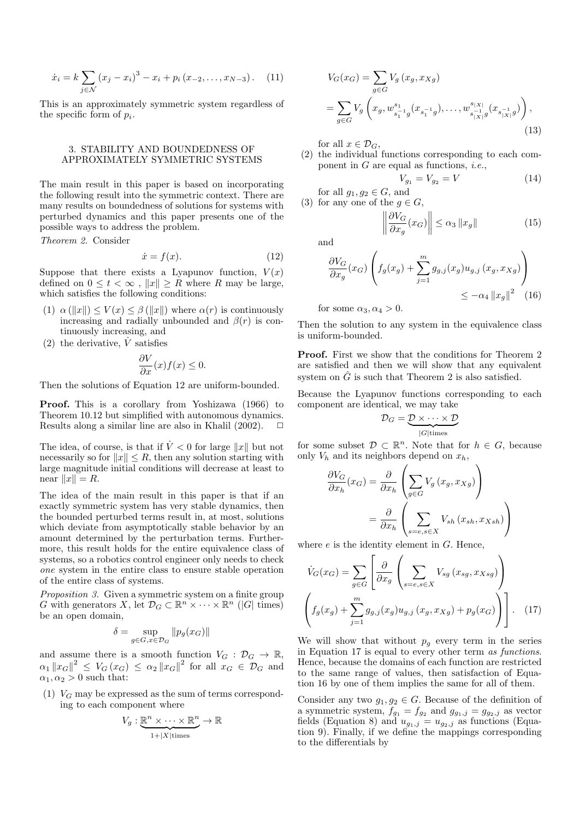$$
\dot{x}_i = k \sum_{j \in \mathcal{N}} (x_j - x_i)^3 - x_i + p_i (x_{-2}, \dots, x_{N-3}). \tag{11}
$$

This is an approximately symmetric system regardless of the specific form of  $p_i$ .

## 3. STABILITY AND BOUNDEDNESS OF APPROXIMATELY SYMMETRIC SYSTEMS

The main result in this paper is based on incorporating the following result into the symmetric context. There are many results on boundedness of solutions for systems with perturbed dynamics and this paper presents one of the possible ways to address the problem.

Theorem 2. Consider

$$
\dot{x} = f(x). \tag{12}
$$

Suppose that there exists a Lyapunov function,  $V(x)$ defined on  $0 \leq t < \infty$ ,  $||x|| \geq R$  where R may be large, which satisfies the following conditions:

- (1)  $\alpha (\Vert x \Vert) \le V(x) \le \beta (\Vert x \Vert)$  where  $\alpha(r)$  is continuously increasing and radially unbounded and  $\beta(r)$  is continuously increasing, and
- (2) the derivative,  $\dot{V}$  satisfies

$$
\frac{\partial V}{\partial x}(x)f(x) \le 0.
$$

Then the solutions of Equation 12 are uniform-bounded.

Proof. This is a corollary from Yoshizawa (1966) to Theorem 10.12 but simplified with autonomous dynamics. Results along a similar line are also in Khalil (2002).

The idea, of course, is that if  $\dot{V} < 0$  for large ||x|| but not necessarily so for  $||x|| \leq R$ , then any solution starting with large magnitude initial conditions will decrease at least to near  $||x|| = R$ .

The idea of the main result in this paper is that if an exactly symmetric system has very stable dynamics, then the bounded perturbed terms result in, at most, solutions which deviate from asymptotically stable behavior by an amount determined by the perturbation terms. Furthermore, this result holds for the entire equivalence class of systems, so a robotics control engineer only needs to check one system in the entire class to ensure stable operation of the entire class of systems.

Proposition 3. Given a symmetric system on a finite group G with generators X, let  $\mathcal{D}_G \subset \mathbb{R}^n \times \cdots \times \mathbb{R}^n$  (|G| times) be an open domain,

$$
\delta = \sup_{g \in G, x \in \mathcal{D}_G} \| p_g(x_G) \|
$$

and assume there is a smooth function  $V_G : \mathcal{D}_G \to \mathbb{R}$ ,  $\alpha_1 \|x_G\|^2 \le V_G(x_G) \le \alpha_2 \|x_G\|^2$  for all  $x_G \in \mathcal{D}_G$  and  $\alpha_1, \alpha_2 > 0$  such that:

(1)  $V_G$  may be expressed as the sum of terms corresponding to each component where

$$
V_g: \underbrace{\mathbb{R}^n \times \cdots \times \mathbb{R}^n}_{1+|X|\text{times}} \to \mathbb{R}
$$

$$
V_G(x_G) = \sum_{g \in G} V_g(x_g, x_{Xg})
$$
  
= 
$$
\sum_{g \in G} V_g\left(x_g, w_{s_1^{-1}g}^{s_{1-1}}(x_{s_1^{-1}g}), \dots, w_{s_{|X|}^{-1}g}^{s_{|X|}}(x_{s_{|X|}^{-1}g})\right),
$$
(13)

for all  $x \in \mathcal{D}_G$ ,

(2) the individual functions corresponding to each component in  $G$  are equal as functions, *i.e.*,

$$
V_{g_1} = V_{g_2} = V \tag{14}
$$

for all  $g_1, g_2 \in G$ , and (3) for any one of the  $g \in G$ ,

$$
\left\| \frac{\partial V_G}{\partial x_g}(x_G) \right\| \le \alpha_3 \left\| x_g \right\| \tag{15}
$$

and

$$
\frac{\partial V_G}{\partial x_g}(x_G) \left( f_g(x_g) + \sum_{j=1}^m g_{g,j}(x_g) u_{g,j}(x_g, x_{Xg}) \right) \le -\alpha_4 \|x_g\|^2 \quad (16)
$$

for some  $\alpha_3, \alpha_4 > 0$ .

Then the solution to any system in the equivalence class is uniform-bounded.

Proof. First we show that the conditions for Theorem 2 are satisfied and then we will show that any equivalent system on  $\hat{G}$  is such that Theorem 2 is also satisfied.

Because the Lyapunov functions corresponding to each component are identical, we may take

$$
\mathcal{D}_G = \underbrace{\mathcal{D} \times \cdots \times \mathcal{D}}_{|G|\text{times}}
$$

for some subset  $\mathcal{D} \subset \mathbb{R}^n$ . Note that for  $h \in G$ , because only  $V_h$  and its neighbors depend on  $x_h$ ,

$$
\frac{\partial V_G}{\partial x_h}(x_G) = \frac{\partial}{\partial x_h} \left( \sum_{g \in G} V_g(x_g, x_{Xg}) \right)
$$

$$
= \frac{\partial}{\partial x_h} \left( \sum_{s=e, s \in X} V_{sh}(x_{sh}, x_{Xsh}) \right)
$$

where  $e$  is the identity element in  $G$ . Hence,

 $\mathbf{r}$ 

$$
\dot{V}_G(x_G) = \sum_{g \in G} \left[ \frac{\partial}{\partial x_g} \left( \sum_{s=e,s \in X} V_{sg} (x_{sg}, x_{Xsg}) \right) \right]
$$
\n
$$
\left( f_g(x_g) + \sum_{j=1}^m g_{g,j} (x_g) u_{g,j} (x_g, x_{Xg}) + p_g(x_G) \right) \right].
$$
\n(17)

We will show that without  $p_q$  every term in the series in Equation 17 is equal to every other term as functions. Hence, because the domains of each function are restricted to the same range of values, then satisfaction of Equation 16 by one of them implies the same for all of them.

Consider any two  $g_1, g_2 \in G$ . Because of the definition of a symmetric system,  $f_{g_1} = f_{g_2}$  and  $g_{g_1,j} = g_{g_2,j}$  as vector fields (Equation 8) and  $u_{g_1,j} = u_{g_2,j}$  as functions (Equation 9). Finally, if we define the mappings corresponding to the differentials by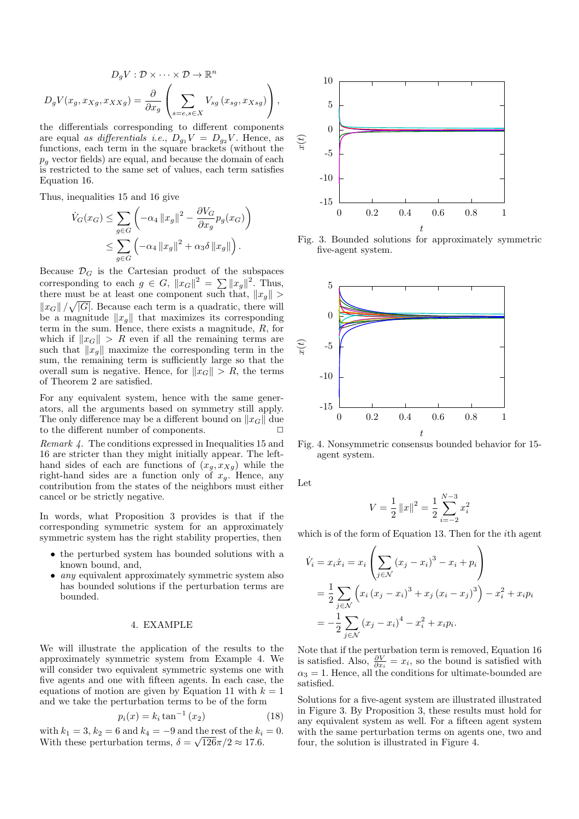$$
D_g V : \mathcal{D} \times \cdots \times \mathcal{D} \to \mathbb{R}^n
$$

$$
D_g V(x_g, x_{Xg}, x_{XXg}) = \frac{\partial}{\partial x_g} \left( \sum_{s=e, s \in X} V_{sg} (x_{sg}, x_{Xsg}) \right),
$$

the differentials corresponding to different components are equal as differentials i.e.,  $D_{g_1}V = D_{g_2}V$ . Hence, as functions, each term in the square brackets (without the  $p_g$  vector fields) are equal, and because the domain of each is restricted to the same set of values, each term satisfies Equation 16.

Thus, inequalities 15 and 16 give

$$
\dot{V}_G(x_G) \le \sum_{g \in G} \left( -\alpha_4 \|x_g\|^2 - \frac{\partial V_G}{\partial x_g} p_g(x_G) \right)
$$
  

$$
\le \sum_{g \in G} \left( -\alpha_4 \|x_g\|^2 + \alpha_3 \delta \|x_g\| \right).
$$

Because  $\mathcal{D}_G$  is the Cartesian product of the subspaces corresponding to each  $g \in G$ ,  $||x_G||^2 = \sum_{\alpha} ||x_g||^2$ . Thus, there must be at least one component such that,  $||x_g|| >$  $\|x_G\|/\sqrt{|G|}$ . Because each term is a quadratic, there will be a magnitude  $||x_q||$  that maximizes its corresponding term in the sum. Hence, there exists a magnitude, R, for which if  $||x_G|| > R$  even if all the remaining terms are such that  $||x_g||$  maximize the corresponding term in the sum, the remaining term is sufficiently large so that the overall sum is negative. Hence, for  $||x_G|| > R$ , the terms of Theorem 2 are satisfied.

For any equivalent system, hence with the same generators, all the arguments based on symmetry still apply. The only difference may be a different bound on  $||x_G||$  due<br>to the different number of components. to the different number of components.

Remark 4. The conditions expressed in Inequalities 15 and 16 are stricter than they might initially appear. The lefthand sides of each are functions of  $(x_g, x_{Xg})$  while the right-hand sides are a function only of  $x_g$ . Hence, any contribution from the states of the neighbors must either cancel or be strictly negative.

In words, what Proposition 3 provides is that if the corresponding symmetric system for an approximately symmetric system has the right stability properties, then

- the perturbed system has bounded solutions with a known bound, and,
- *any* equivalent approximately symmetric system also has bounded solutions if the perturbation terms are bounded.

## 4. EXAMPLE

We will illustrate the application of the results to the approximately symmetric system from Example 4. We will consider two equivalent symmetric systems one with five agents and one with fifteen agents. In each case, the equations of motion are given by Equation 11 with  $k = 1$ and we take the perturbation terms to be of the form

$$
p_i(x) = k_i \tan^{-1}(x_2)
$$
 (18)

with  $k_1 = 3, k_2 = 6$  and  $k_4 = -9$  and the rest of the  $k_i = 0$ . With these perturbation terms,  $\delta = \sqrt{126\pi}/2 \approx 17.6$ .



Fig. 3. Bounded solutions for approximately symmetric five-agent system.



Fig. 4. Nonsymmetric consensus bounded behavior for 15 agent system.

Let

$$
V = \frac{1}{2} ||x||^2 = \frac{1}{2} \sum_{i=-2}^{N-3} x_i^2
$$

which is of the form of Equation 13. Then for the *i*th agent

$$
\dot{V}_i = x_i \dot{x}_i = x_i \left( \sum_{j \in \mathcal{N}} (x_j - x_i)^3 - x_i + p_i \right)
$$
  
=  $\frac{1}{2} \sum_{j \in \mathcal{N}} \left( x_i (x_j - x_i)^3 + x_j (x_i - x_j)^3 \right) - x_i^2 + x_i p_i$   
=  $-\frac{1}{2} \sum_{j \in \mathcal{N}} (x_j - x_i)^4 - x_i^2 + x_i p_i.$ 

Note that if the perturbation term is removed, Equation 16 is satisfied. Also,  $\frac{\partial V}{\partial x_i} = x_i$ , so the bound is satisfied with  $\alpha_3 = 1$ . Hence, all the conditions for ultimate-bounded are satisfied.

Solutions for a five-agent system are illustrated illustrated in Figure 3. By Proposition 3, these results must hold for any equivalent system as well. For a fifteen agent system with the same perturbation terms on agents one, two and four, the solution is illustrated in Figure 4.